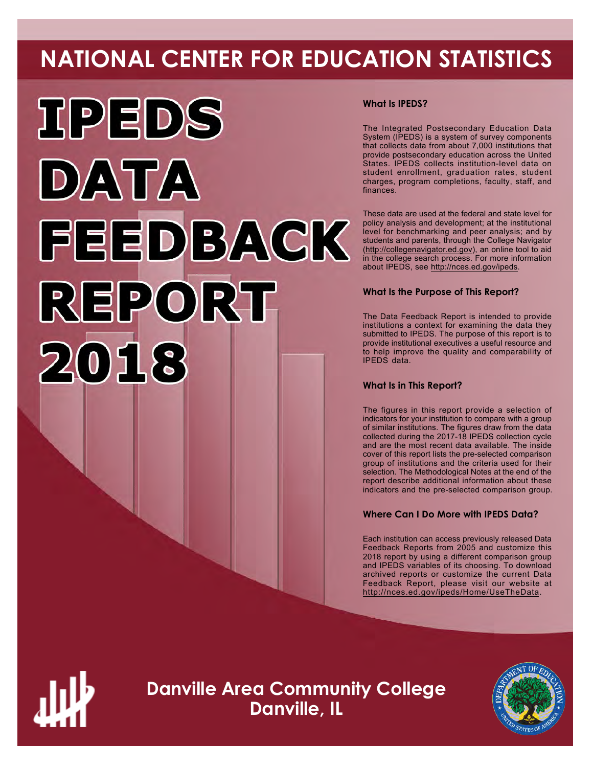# **NATIONAL CENTER FOR EDUCATION STATISTICS**



# **What Is IPEDS?**

The Integrated Postsecondary Education Data System (IPEDS) is a system of survey components that collects data from about 7,000 institutions that provide postsecondary education across the United States. IPEDS collects institution-level data on student enrollment, graduation rates, student charges, program completions, faculty, staff, and finances.

These data are used at the federal and state level for policy analysis and development; at the institutional level for benchmarking and peer analysis; and by students and parents, through the College Navigator ([http://collegenavigator.ed.gov\)](http://collegenavigator.ed.gov), an online tool to aid in the college search process. For more information about IPEDS, see [http://nces.ed.gov/ipeds.](http://nces.ed.gov/ipeds)

# **What Is the Purpose of This Report?**

The Data Feedback Report is intended to provide institutions a context for examining the data they submitted to IPEDS. The purpose of this report is to provide institutional executives a useful resource and to help improve the quality and comparability of IPEDS data.

# **What Is in This Report?**

The figures in this report provide a selection of indicators for your institution to compare with a group of similar institutions. The figures draw from the data collected during the 2017-18 IPEDS collection cycle and are the most recent data available. The inside cover of this report lists the pre-selected comparison group of institutions and the criteria used for their selection. The Methodological Notes at the end of the report describe additional information about these indicators and the pre-selected comparison group.

# **Where Can I Do More with IPEDS Data?**

Each institution can access previously released Data Feedback Reports from 2005 and customize this 2018 report by using a different comparison group and IPEDS variables of its choosing. To download archived reports or customize the current Data Feedback Report, please visit our website at <http://nces.ed.gov/ipeds/Home/UseTheData>.



**Danville Area Community College Danville, IL**

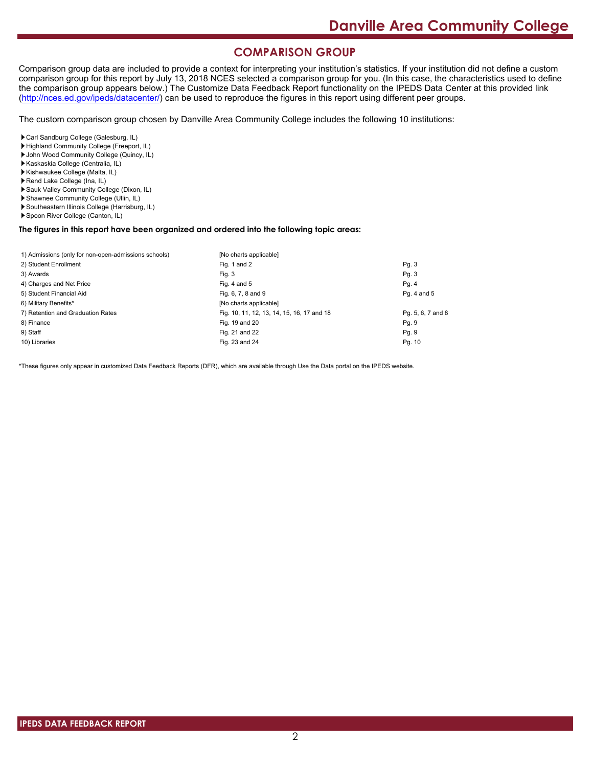# **COMPARISON GROUP**

Comparison group data are included to provide a context for interpreting your institution's statistics. If your institution did not define a custom comparison group for this report by July 13, 2018 NCES selected a comparison group for you. (In this case, the characteristics used to define the comparison group appears below.) The Customize Data Feedback Report functionality on the IPEDS Data Center at this provided link [\(http://nces.ed.gov/ipeds/datacenter/\)](http://nces.ed.gov/ipeds/datacenter/) can be used to reproduce the figures in this report using different peer groups.

The custom comparison group chosen by Danville Area Community College includes the following 10 institutions:

Carl Sandburg College (Galesburg, IL)

- Highland Community College (Freeport, IL)
- John Wood Community College (Quincy, IL)
- Kaskaskia College (Centralia, IL)
- Kishwaukee College (Malta, IL)
- Rend Lake College (Ina, IL)
- Sauk Valley Community College (Dixon, IL)
- Shawnee Community College (Ullin, IL)
- Southeastern Illinois College (Harrisburg, IL)
- Spoon River College (Canton, IL)

#### **The figures in this report have been organized and ordered into the following topic areas:**

| 1) Admissions (only for non-open-admissions schools) | [No charts applicable]                     |                   |
|------------------------------------------------------|--------------------------------------------|-------------------|
| 2) Student Enrollment                                | Fig. 1 and 2                               | Pg.3              |
| 3) Awards                                            | Fig. 3                                     | Pg.3              |
| 4) Charges and Net Price                             | Fig. 4 and $5$                             | Pg. 4             |
| 5) Student Financial Aid                             | Fig. 6, 7, 8 and 9                         | Pg. 4 and 5       |
| 6) Military Benefits*                                | [No charts applicable]                     |                   |
| 7) Retention and Graduation Rates                    | Fig. 10, 11, 12, 13, 14, 15, 16, 17 and 18 | Pg. 5, 6, 7 and 8 |
| 8) Finance                                           | Fig. 19 and 20                             | Pg. 9             |
| 9) Staff                                             | Fig. 21 and 22                             | Pg. 9             |
| 10) Libraries                                        | Fig. 23 and 24                             | Pg. 10            |

\*These figures only appear in customized Data Feedback Reports (DFR), which are available through Use the Data portal on the IPEDS website.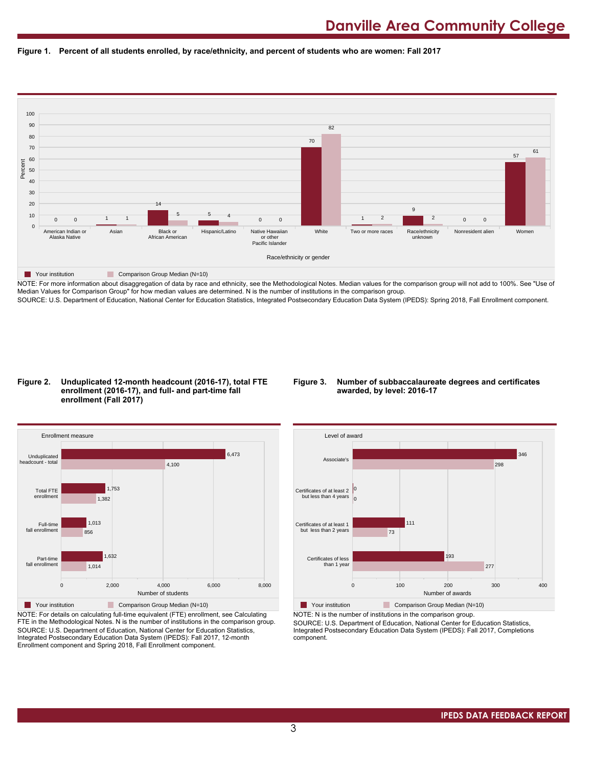



NOTE: For more information about disaggregation of data by race and ethnicity, see the Methodological Notes. Median values for the comparison group will not add to 100%. See "Use of Median Values for Comparison Group" for how median values are determined. N is the number of institutions in the comparison group. SOURCE: U.S. Department of Education, National Center for Education Statistics, Integrated Postsecondary Education Data System (IPEDS): Spring 2018, Fall Enrollment component.

#### **Figure 2. Unduplicated 12-month headcount (2016-17), total FTE enrollment (2016-17), and full- and part-time fall enrollment (Fall 2017)**

# **Figure 3. Number of subbaccalaureate degrees and certificates awarded, by level: 2016-17**



NOTE: For details on calculating full-time equivalent (FTE) enrollment, see Calculating FTE in the Methodological Notes. N is the number of institutions in the comparison group. SOURCE: U.S. Department of Education, National Center for Education Statistics, Integrated Postsecondary Education Data System (IPEDS): Fall 2017, 12-month Enrollment component and Spring 2018, Fall Enrollment component.



**The Your institution Comparison Group Median (N=10)** 

NOTE: N is the number of institutions in the comparison group. SOURCE: U.S. Department of Education, National Center for Education Statistics,

Integrated Postsecondary Education Data System (IPEDS): Fall 2017, Completions component.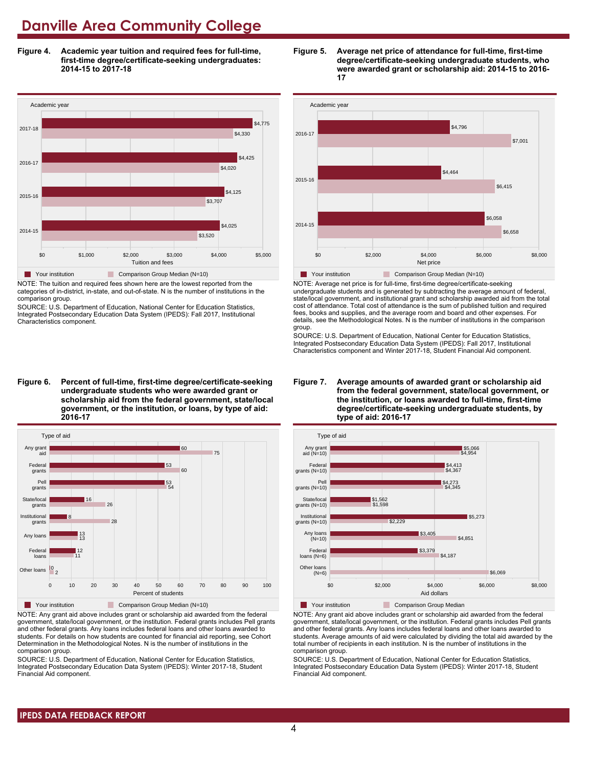**Figure 4. Academic year tuition and required fees for full-time, first-time degree/certificate-seeking undergraduates: 2014-15 to 2017-18**



NOTE: The tuition and required fees shown here are the lowest reported from the categories of in-district, in-state, and out-of-state. N is the number of institutions in the comparison group.

SOURCE: U.S. Department of Education, National Center for Education Statistics, Integrated Postsecondary Education Data System (IPEDS): Fall 2017, Institutional Characteristics component.

**Figure 6. Percent of full-time, first-time degree/certificate-seeking undergraduate students who were awarded grant or scholarship aid from the federal government, state/local government, or the institution, or loans, by type of aid: 2016-17**



NOTE: Any grant aid above includes grant or scholarship aid awarded from the federal government, state/local government, or the institution. Federal grants includes Pell grants and other federal grants. Any loans includes federal loans and other loans awarded to students. For details on how students are counted for financial aid reporting, see Cohort Determination in the Methodological Notes. N is the number of institutions in the comparison group.

SOURCE: U.S. Department of Education, National Center for Education Statistics, Integrated Postsecondary Education Data System (IPEDS): Winter 2017-18, Student Financial Aid component.





NOTE: Average net price is for full-time, first-time degree/certificate-seeking undergraduate students and is generated by subtracting the average amount of federal, state/local government, and institutional grant and scholarship awarded aid from the total cost of attendance. Total cost of attendance is the sum of published tuition and required fees, books and supplies, and the average room and board and other expenses. For details, see the Methodological Notes. N is the number of institutions in the comparison group.

SOURCE: U.S. Department of Education, National Center for Education Statistics, Integrated Postsecondary Education Data System (IPEDS): Fall 2017, Institutional Characteristics component and Winter 2017-18, Student Financial Aid component.





**The Your institution** Comparison Group Median

NOTE: Any grant aid above includes grant or scholarship aid awarded from the federal government, state/local government, or the institution. Federal grants includes Pell grants and other federal grants. Any loans includes federal loans and other loans awarded to students. Average amounts of aid were calculated by dividing the total aid awarded by the total number of recipients in each institution. N is the number of institutions in the comparison group.

SOURCE: U.S. Department of Education, National Center for Education Statistics, Integrated Postsecondary Education Data System (IPEDS): Winter 2017-18, Student Financial Aid component.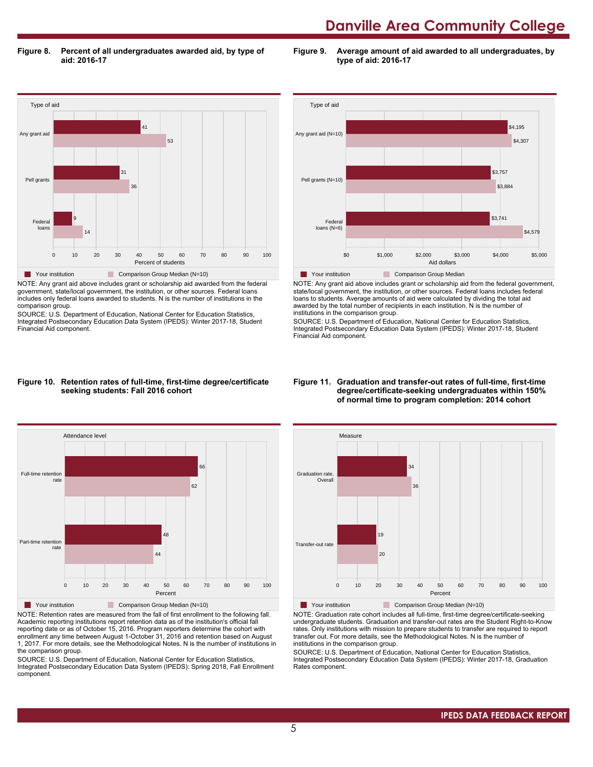**Figure 8. Percent of all undergraduates awarded aid, by type of aid: 2016-17**

**Figure 9. Average amount of aid awarded to all undergraduates, by type of aid: 2016-17**



NOTE: Any grant aid above includes grant or scholarship aid awarded from the federal government, state/local government, the institution, or other sources. Federal loans includes only federal loans awarded to students. N is the number of institutions in the comparison group.

SOURCE: U.S. Department of Education, National Center for Education Statistics, Integrated Postsecondary Education Data System (IPEDS): Winter 2017-18, Student Financial Aid component.



NOTE: Any grant aid above includes grant or scholarship aid from the federal government, state/local government, the institution, or other sources. Federal loans includes federal loans to students. Average amounts of aid were calculated by dividing the total aid awarded by the total number of recipients in each institution. N is the number of institutions in the comparison group.

SOURCE: U.S. Department of Education, National Center for Education Statistics, Integrated Postsecondary Education Data System (IPEDS): Winter 2017-18, Student Financial Aid component.

#### **Figure 10. Retention rates of full-time, first-time degree/certificate seeking students: Fall 2016 cohort**



NOTE: Retention rates are measured from the fall of first enrollment to the following fall. Academic reporting institutions report retention data as of the institution's official fall reporting date or as of October 15, 2016. Program reporters determine the cohort with enrollment any time between August 1-October 31, 2016 and retention based on August 1, 2017. For more details, see the Methodological Notes. N is the number of institutions in the comparison group.

SOURCE: U.S. Department of Education, National Center for Education Statistics, Integrated Postsecondary Education Data System (IPEDS): Spring 2018, Fall Enrollment component.

#### **Figure 11. Graduation and transfer-out rates of full-time, first-time degree/certificate-seeking undergraduates within 150% of normal time to program completion: 2014 cohort**



NOTE: Graduation rate cohort includes all full-time, first-time degree/certificate-seeking undergraduate students. Graduation and transfer-out rates are the Student Right-to-Know rates. Only institutions with mission to prepare students to transfer are required to report transfer out. For more details, see the Methodological Notes. N is the number of institutions in the comparison group.

SOURCE: U.S. Department of Education, National Center for Education Statistics, Integrated Postsecondary Education Data System (IPEDS): Winter 2017-18, Graduation Rates component.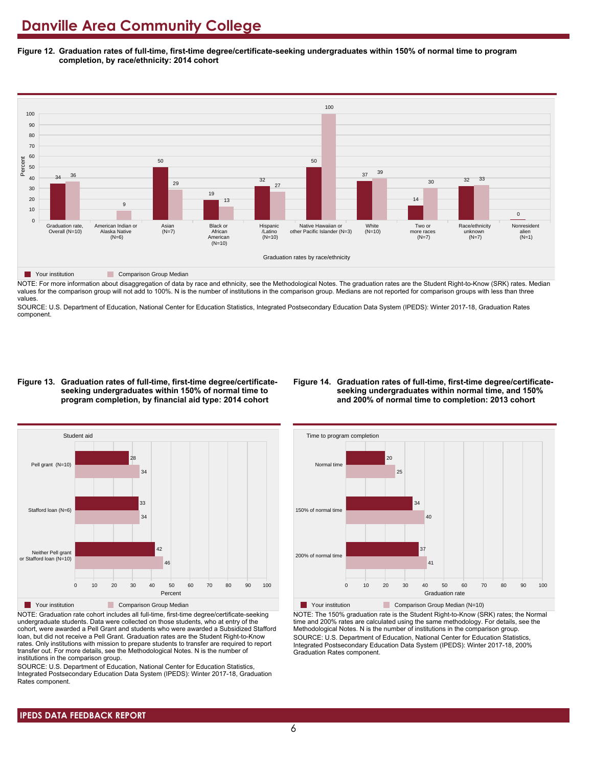**Figure 12. Graduation rates of full-time, first-time degree/certificate-seeking undergraduates within 150% of normal time to program completion, by race/ethnicity: 2014 cohort**



**Table Your institution Comparison Group Median** 

NOTE: For more information about disaggregation of data by race and ethnicity, see the Methodological Notes. The graduation rates are the Student Right-to-Know (SRK) rates. Median values for the comparison group will not add to 100%. N is the number of institutions in the comparison group. Medians are not reported for comparison groups with less than three values.

SOURCE: U.S. Department of Education, National Center for Education Statistics, Integrated Postsecondary Education Data System (IPEDS): Winter 2017-18, Graduation Rates component.

#### **Figure 13. Graduation rates of full-time, first-time degree/certificateseeking undergraduates within 150% of normal time to program completion, by financial aid type: 2014 cohort**

#### **Figure 14. Graduation rates of full-time, first-time degree/certificateseeking undergraduates within normal time, and 150% and 200% of normal time to completion: 2013 cohort**



NOTE: Graduation rate cohort includes all full-time, first-time degree/certificate-seeking undergraduate students. Data were collected on those students, who at entry of the cohort, were awarded a Pell Grant and students who were awarded a Subsidized Stafford loan, but did not receive a Pell Grant. Graduation rates are the Student Right-to-Know rates. Only institutions with mission to prepare students to transfer are required to report transfer out. For more details, see the Methodological Notes. N is the number of institutions in the comparison group.

SOURCE: U.S. Department of Education, National Center for Education Statistics, Integrated Postsecondary Education Data System (IPEDS): Winter 2017-18, Graduation Rates component.



Your institution Comparison Group Median (N=10) NOTE: The 150% graduation rate is the Student Right-to-Know (SRK) rates; the Normal time and 200% rates are calculated using the same methodology. For details, see the Methodological Notes. N is the number of institutions in the comparison group. SOURCE: U.S. Department of Education, National Center for Education Statistics, Integrated Postsecondary Education Data System (IPEDS): Winter 2017-18, 200% Graduation Rates component.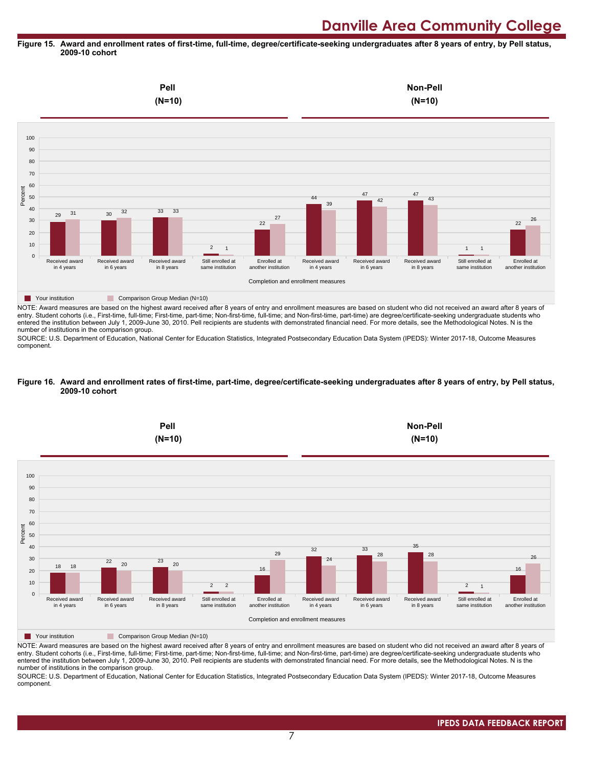#### **Figure 15. Award and enrollment rates of first-time, full-time, degree/certificate-seeking undergraduates after 8 years of entry, by Pell status, 2009-10 cohort**



NOTE: Award measures are based on the highest award received after 8 years of entry and enrollment measures are based on student who did not received an award after 8 years of entry. Student cohorts (i.e., First-time, full-time; First-time, part-time; Non-first-time, full-time; and Non-first-time, part-time) are degree/certificate-seeking undergraduate students who entered the institution between July 1, 2009-June 30, 2010. Pell recipients are students with demonstrated financial need. For more details, see the Methodological Notes. N is the number of institutions in the comparison group.

SOURCE: U.S. Department of Education, National Center for Education Statistics, Integrated Postsecondary Education Data System (IPEDS): Winter 2017-18, Outcome Measures component.

#### **Figure 16. Award and enrollment rates of first-time, part-time, degree/certificate-seeking undergraduates after 8 years of entry, by Pell status, 2009-10 cohort**



NOTE: Award measures are based on the highest award received after 8 years of entry and enrollment measures are based on student who did not received an award after 8 years of entry. Student cohorts (i.e., First-time, full-time; First-time, part-time; Non-first-time, full-time; and Non-first-time, part-time) are degree/certificate-seeking undergraduate students who entered the institution between July 1, 2009-June 30, 2010. Pell recipients are students with demonstrated financial need. For more details, see the Methodological Notes. N is the number of institutions in the comparison group.

SOURCE: U.S. Department of Education, National Center for Education Statistics, Integrated Postsecondary Education Data System (IPEDS): Winter 2017-18, Outcome Measures component.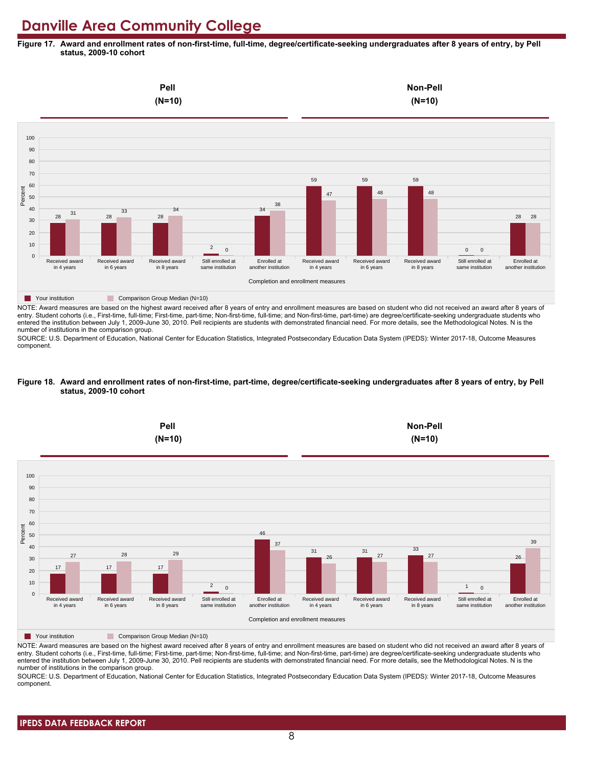**Figure 17. Award and enrollment rates of non-first-time, full-time, degree/certificate-seeking undergraduates after 8 years of entry, by Pell status, 2009-10 cohort**



NOTE: Award measures are based on the highest award received after 8 years of entry and enrollment measures are based on student who did not received an award after 8 years of entry. Student cohorts (i.e., First-time, full-time; First-time, part-time; Non-first-time, full-time; and Non-first-time, part-time) are degree/certificate-seeking undergraduate students who entered the institution between July 1, 2009-June 30, 2010. Pell recipients are students with demonstrated financial need. For more details, see the Methodological Notes. N is the number of institutions in the comparison group.

SOURCE: U.S. Department of Education, National Center for Education Statistics, Integrated Postsecondary Education Data System (IPEDS): Winter 2017-18, Outcome Measures component.

#### **Figure 18. Award and enrollment rates of non-first-time, part-time, degree/certificate-seeking undergraduates after 8 years of entry, by Pell status, 2009-10 cohort**



NOTE: Award measures are based on the highest award received after 8 years of entry and enrollment measures are based on student who did not received an award after 8 years of entry. Student cohorts (i.e., First-time, full-time; First-time, part-time; Non-first-time, full-time; and Non-first-time, part-time) are degree/certificate-seeking undergraduate students who entered the institution between July 1, 2009-June 30, 2010. Pell recipients are students with demonstrated financial need. For more details, see the Methodological Notes. N is the number of institutions in the comparison group.

SOURCE: U.S. Department of Education, National Center for Education Statistics, Integrated Postsecondary Education Data System (IPEDS): Winter 2017-18, Outcome Measures component.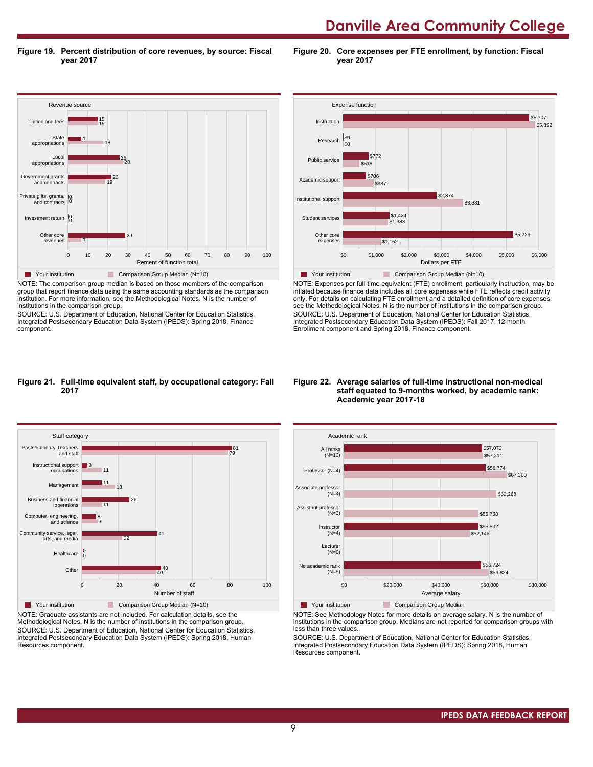**Figure 19. Percent distribution of core revenues, by source: Fiscal year 2017**

**Figure 20. Core expenses per FTE enrollment, by function: Fiscal year 2017**



NOTE: The comparison group median is based on those members of the comparison group that report finance data using the same accounting standards as the comparison institution. For more information, see the Methodological Notes. N is the number of institutions in the comparison group.

SOURCE: U.S. Department of Education, National Center for Education Statistics, Integrated Postsecondary Education Data System (IPEDS): Spring 2018, Finance component.



NOTE: Expenses per full-time equivalent (FTE) enrollment, particularly instruction, may be inflated because finance data includes all core expenses while FTE reflects credit activity only. For details on calculating FTE enrollment and a detailed definition of core expenses, see the Methodological Notes. N is the number of institutions in the comparison group. SOURCE: U.S. Department of Education, National Center for Education Statistics, Integrated Postsecondary Education Data System (IPEDS): Fall 2017, 12-month Enrollment component and Spring 2018, Finance component.

#### **Figure 21. Full-time equivalent staff, by occupational category: Fall 2017**



NOTE: Graduate assistants are not included. For calculation details, see the Methodological Notes. N is the number of institutions in the comparison group. SOURCE: U.S. Department of Education, National Center for Education Statistics, Integrated Postsecondary Education Data System (IPEDS): Spring 2018, Human Resources component.

#### **Figure 22. Average salaries of full-time instructional non-medical staff equated to 9-months worked, by academic rank: Academic year 2017-18**



**The Your institution Comparison Group Median** NOTE: See Methodology Notes for more details on average salary. N is the number of institutions in the comparison group. Medians are not reported for comparison groups with

less than three values. SOURCE: U.S. Department of Education, National Center for Education Statistics,

Integrated Postsecondary Education Data System (IPEDS): Spring 2018, Human Resources component.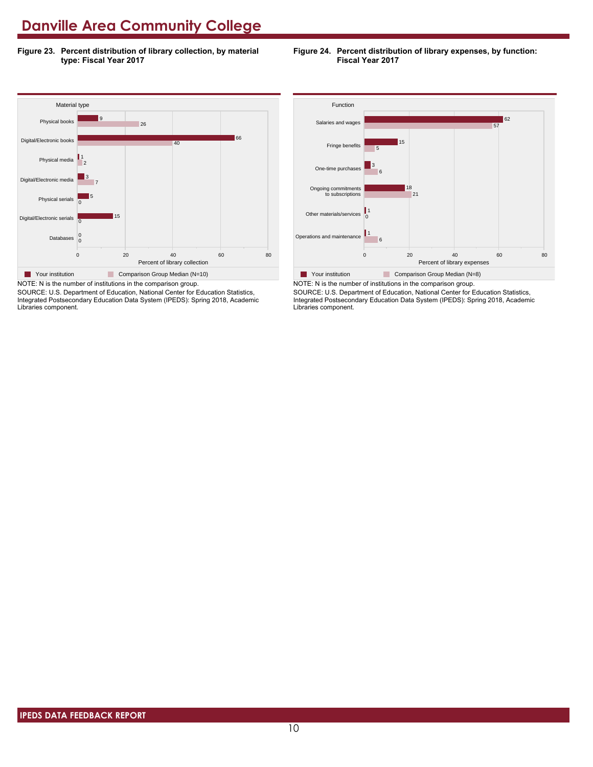**Figure 23. Percent distribution of library collection, by material type: Fiscal Year 2017**

#### **Figure 24. Percent distribution of library expenses, by function: Fiscal Year 2017**



SOURCE: U.S. Department of Education, National Center for Education Statistics, Integrated Postsecondary Education Data System (IPEDS): Spring 2018, Academic Libraries component.



SOURCE: U.S. Department of Education, National Center for Education Statistics, Integrated Postsecondary Education Data System (IPEDS): Spring 2018, Academic Libraries component.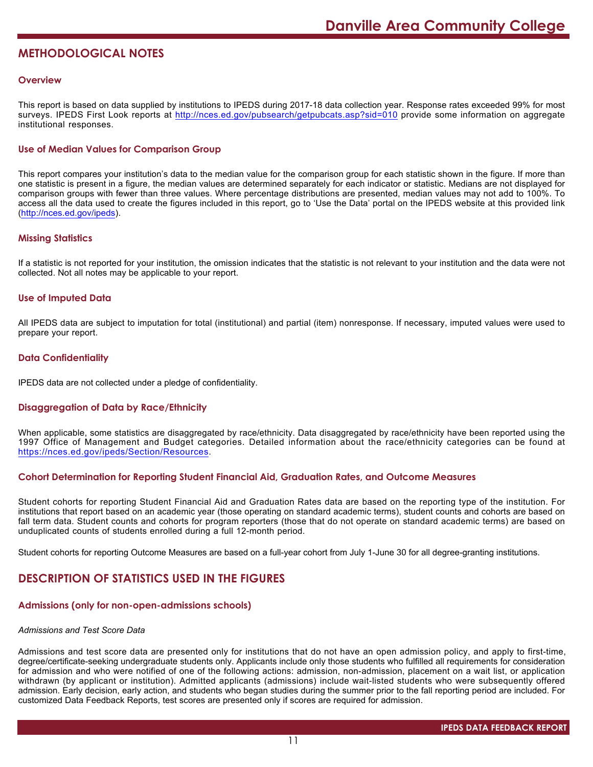# **METHODOLOGICAL NOTES**

# **Overview**

This report is based on data supplied by institutions to IPEDS during 2017-18 data collection year. Response rates exceeded 99% for most surveys. IPEDS First Look reports at <http://nces.ed.gov/pubsearch/getpubcats.asp?sid=010> provide some information on aggregate institutional responses.

# **Use of Median Values for Comparison Group**

This report compares your institution's data to the median value for the comparison group for each statistic shown in the figure. If more than one statistic is present in a figure, the median values are determined separately for each indicator or statistic. Medians are not displayed for comparison groups with fewer than three values. Where percentage distributions are presented, median values may not add to 100%. To access all the data used to create the figures included in this report, go to 'Use the Data' portal on the IPEDS website at this provided link (<http://nces.ed.gov/ipeds>).

# **Missing Statistics**

If a statistic is not reported for your institution, the omission indicates that the statistic is not relevant to your institution and the data were not collected. Not all notes may be applicable to your report.

### **Use of Imputed Data**

All IPEDS data are subject to imputation for total (institutional) and partial (item) nonresponse. If necessary, imputed values were used to prepare your report.

# **Data Confidentiality**

IPEDS data are not collected under a pledge of confidentiality.

# **Disaggregation of Data by Race/Ethnicity**

When applicable, some statistics are disaggregated by race/ethnicity. Data disaggregated by race/ethnicity have been reported using the 1997 Office of Management and Budget categories. Detailed information about the race/ethnicity categories can be found at <https://nces.ed.gov/ipeds/Section/Resources>.

### **Cohort Determination for Reporting Student Financial Aid, Graduation Rates, and Outcome Measures**

Student cohorts for reporting Student Financial Aid and Graduation Rates data are based on the reporting type of the institution. For institutions that report based on an academic year (those operating on standard academic terms), student counts and cohorts are based on fall term data. Student counts and cohorts for program reporters (those that do not operate on standard academic terms) are based on unduplicated counts of students enrolled during a full 12-month period.

Student cohorts for reporting Outcome Measures are based on a full-year cohort from July 1-June 30 for all degree-granting institutions.

# **DESCRIPTION OF STATISTICS USED IN THE FIGURES**

#### **Admissions (only for non-open-admissions schools)**

#### *Admissions and Test Score Data*

Admissions and test score data are presented only for institutions that do not have an open admission policy, and apply to first-time, degree/certificate-seeking undergraduate students only. Applicants include only those students who fulfilled all requirements for consideration for admission and who were notified of one of the following actions: admission, non-admission, placement on a wait list, or application withdrawn (by applicant or institution). Admitted applicants (admissions) include wait-listed students who were subsequently offered admission. Early decision, early action, and students who began studies during the summer prior to the fall reporting period are included. For customized Data Feedback Reports, test scores are presented only if scores are required for admission.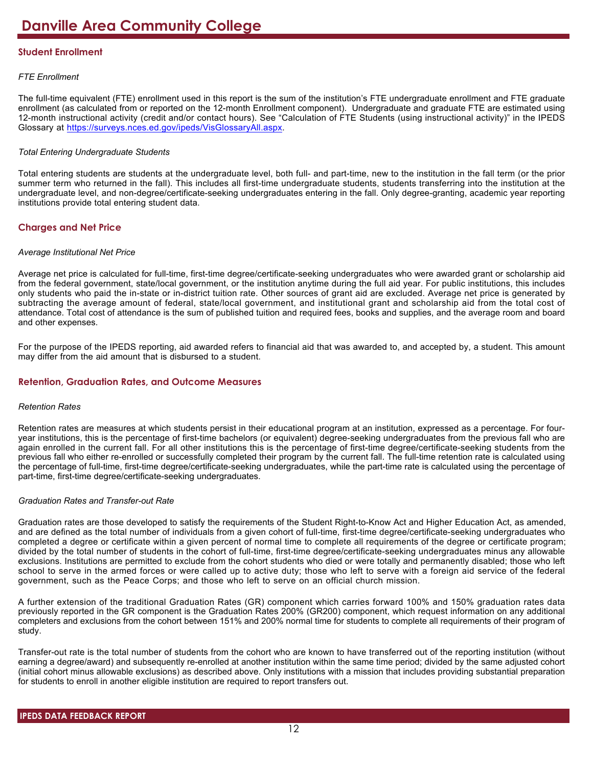# **Student Enrollment**

# *FTE Enrollment*

The full-time equivalent (FTE) enrollment used in this report is the sum of the institution's FTE undergraduate enrollment and FTE graduate enrollment (as calculated from or reported on the 12-month Enrollment component). Undergraduate and graduate FTE are estimated using 12-month instructional activity (credit and/or contact hours). See "Calculation of FTE Students (using instructional activity)" in the IPEDS Glossary at <https://surveys.nces.ed.gov/ipeds/VisGlossaryAll.aspx>.

# *Total Entering Undergraduate Students*

Total entering students are students at the undergraduate level, both full- and part-time, new to the institution in the fall term (or the prior summer term who returned in the fall). This includes all first-time undergraduate students, students transferring into the institution at the undergraduate level, and non-degree/certificate-seeking undergraduates entering in the fall. Only degree-granting, academic year reporting institutions provide total entering student data.

# **Charges and Net Price**

### *Average Institutional Net Price*

Average net price is calculated for full-time, first-time degree/certificate-seeking undergraduates who were awarded grant or scholarship aid from the federal government, state/local government, or the institution anytime during the full aid year. For public institutions, this includes only students who paid the in-state or in-district tuition rate. Other sources of grant aid are excluded. Average net price is generated by subtracting the average amount of federal, state/local government, and institutional grant and scholarship aid from the total cost of attendance. Total cost of attendance is the sum of published tuition and required fees, books and supplies, and the average room and board and other expenses.

For the purpose of the IPEDS reporting, aid awarded refers to financial aid that was awarded to, and accepted by, a student. This amount may differ from the aid amount that is disbursed to a student.

# **Retention, Graduation Rates, and Outcome Measures**

# *Retention Rates*

Retention rates are measures at which students persist in their educational program at an institution, expressed as a percentage. For fouryear institutions, this is the percentage of first-time bachelors (or equivalent) degree-seeking undergraduates from the previous fall who are again enrolled in the current fall. For all other institutions this is the percentage of first-time degree/certificate-seeking students from the previous fall who either re-enrolled or successfully completed their program by the current fall. The full-time retention rate is calculated using the percentage of full-time, first-time degree/certificate-seeking undergraduates, while the part-time rate is calculated using the percentage of part-time, first-time degree/certificate-seeking undergraduates.

# *Graduation Rates and Transfer-out Rate*

Graduation rates are those developed to satisfy the requirements of the Student Right-to-Know Act and Higher Education Act, as amended, and are defined as the total number of individuals from a given cohort of full-time, first-time degree/certificate-seeking undergraduates who completed a degree or certificate within a given percent of normal time to complete all requirements of the degree or certificate program; divided by the total number of students in the cohort of full-time, first-time degree/certificate-seeking undergraduates minus any allowable exclusions. Institutions are permitted to exclude from the cohort students who died or were totally and permanently disabled; those who left school to serve in the armed forces or were called up to active duty; those who left to serve with a foreign aid service of the federal government, such as the Peace Corps; and those who left to serve on an official church mission.

A further extension of the traditional Graduation Rates (GR) component which carries forward 100% and 150% graduation rates data previously reported in the GR component is the Graduation Rates 200% (GR200) component, which request information on any additional completers and exclusions from the cohort between 151% and 200% normal time for students to complete all requirements of their program of study.

Transfer-out rate is the total number of students from the cohort who are known to have transferred out of the reporting institution (without earning a degree/award) and subsequently re-enrolled at another institution within the same time period; divided by the same adjusted cohort (initial cohort minus allowable exclusions) as described above. Only institutions with a mission that includes providing substantial preparation for students to enroll in another eligible institution are required to report transfers out.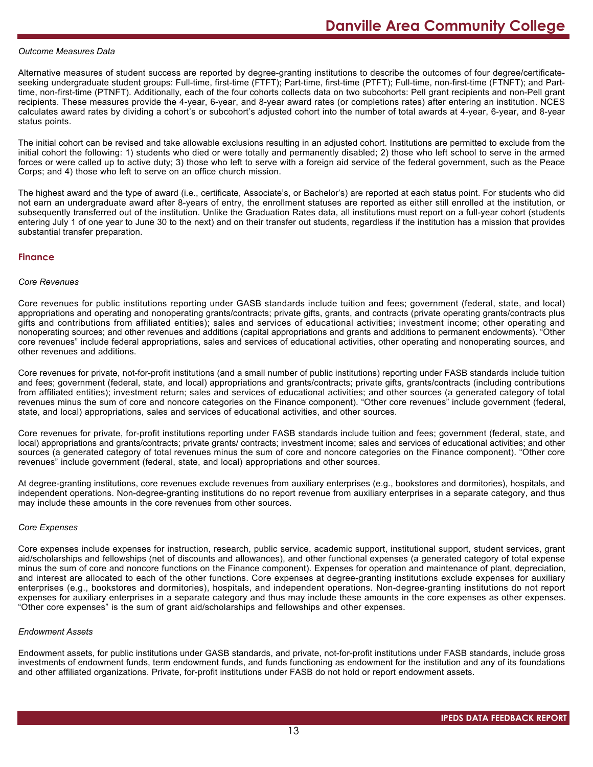#### *Outcome Measures Data*

Alternative measures of student success are reported by degree-granting institutions to describe the outcomes of four degree/certificateseeking undergraduate student groups: Full-time, first-time (FTFT); Part-time, first-time (PTFT); Full-time, non-first-time (FTNFT); and Parttime, non-first-time (PTNFT). Additionally, each of the four cohorts collects data on two subcohorts: Pell grant recipients and non-Pell grant recipients. These measures provide the 4-year, 6-year, and 8-year award rates (or completions rates) after entering an institution. NCES calculates award rates by dividing a cohort's or subcohort's adjusted cohort into the number of total awards at 4-year, 6-year, and 8-year status points.

The initial cohort can be revised and take allowable exclusions resulting in an adjusted cohort. Institutions are permitted to exclude from the initial cohort the following: 1) students who died or were totally and permanently disabled; 2) those who left school to serve in the armed forces or were called up to active duty; 3) those who left to serve with a foreign aid service of the federal government, such as the Peace Corps; and 4) those who left to serve on an office church mission.

The highest award and the type of award (i.e., certificate, Associate's, or Bachelor's) are reported at each status point. For students who did not earn an undergraduate award after 8-years of entry, the enrollment statuses are reported as either still enrolled at the institution, or subsequently transferred out of the institution. Unlike the Graduation Rates data, all institutions must report on a full-year cohort (students entering July 1 of one year to June 30 to the next) and on their transfer out students, regardless if the institution has a mission that provides substantial transfer preparation.

#### **Finance**

#### *Core Revenues*

Core revenues for public institutions reporting under GASB standards include tuition and fees; government (federal, state, and local) appropriations and operating and nonoperating grants/contracts; private gifts, grants, and contracts (private operating grants/contracts plus gifts and contributions from affiliated entities); sales and services of educational activities; investment income; other operating and nonoperating sources; and other revenues and additions (capital appropriations and grants and additions to permanent endowments). "Other core revenues" include federal appropriations, sales and services of educational activities, other operating and nonoperating sources, and other revenues and additions.

Core revenues for private, not-for-profit institutions (and a small number of public institutions) reporting under FASB standards include tuition and fees; government (federal, state, and local) appropriations and grants/contracts; private gifts, grants/contracts (including contributions from affiliated entities); investment return; sales and services of educational activities; and other sources (a generated category of total revenues minus the sum of core and noncore categories on the Finance component). "Other core revenues" include government (federal, state, and local) appropriations, sales and services of educational activities, and other sources.

Core revenues for private, for-profit institutions reporting under FASB standards include tuition and fees; government (federal, state, and local) appropriations and grants/contracts; private grants/ contracts; investment income; sales and services of educational activities; and other sources (a generated category of total revenues minus the sum of core and noncore categories on the Finance component). "Other core revenues" include government (federal, state, and local) appropriations and other sources.

At degree-granting institutions, core revenues exclude revenues from auxiliary enterprises (e.g., bookstores and dormitories), hospitals, and independent operations. Non-degree-granting institutions do no report revenue from auxiliary enterprises in a separate category, and thus may include these amounts in the core revenues from other sources.

#### *Core Expenses*

Core expenses include expenses for instruction, research, public service, academic support, institutional support, student services, grant aid/scholarships and fellowships (net of discounts and allowances), and other functional expenses (a generated category of total expense minus the sum of core and noncore functions on the Finance component). Expenses for operation and maintenance of plant, depreciation, and interest are allocated to each of the other functions. Core expenses at degree-granting institutions exclude expenses for auxiliary enterprises (e.g., bookstores and dormitories), hospitals, and independent operations. Non-degree-granting institutions do not report expenses for auxiliary enterprises in a separate category and thus may include these amounts in the core expenses as other expenses. "Other core expenses" is the sum of grant aid/scholarships and fellowships and other expenses.

#### *Endowment Assets*

Endowment assets, for public institutions under GASB standards, and private, not-for-profit institutions under FASB standards, include gross investments of endowment funds, term endowment funds, and funds functioning as endowment for the institution and any of its foundations and other affiliated organizations. Private, for-profit institutions under FASB do not hold or report endowment assets.